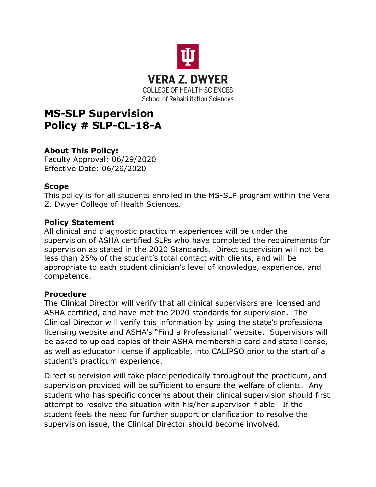

# **MS-SLP Supervision Policy # SLP-CL-18-A**

## **About This Policy:**

Faculty Approval: 06/29/2020 Effective Date: 06/29/2020

### **Scope**

This policy is for all students enrolled in the MS-SLP program within the Vera Z. Dwyer College of Health Sciences.

### **Policy Statement**

All clinical and diagnostic practicum experiences will be under the supervision of ASHA certified SLPs who have completed the requirements for supervision as stated in the 2020 Standards. Direct supervision will not be less than 25% of the student's total contact with clients, and will be appropriate to each student clinician's level of knowledge, experience, and competence.

#### **Procedure**

The Clinical Director will verify that all clinical supervisors are licensed and ASHA certified, and have met the 2020 standards for supervision. The Clinical Director will verify this information by using the state's professional licensing website and ASHA's "Find a Professional" website. Supervisors will be asked to upload copies of their ASHA membership card and state license, as well as educator license if applicable, into CALIPSO prior to the start of a student's practicum experience.

Direct supervision will take place periodically throughout the practicum, and supervision provided will be sufficient to ensure the welfare of clients. Any student who has specific concerns about their clinical supervision should first attempt to resolve the situation with his/her supervisor if able. If the student feels the need for further support or clarification to resolve the supervision issue, the Clinical Director should become involved.